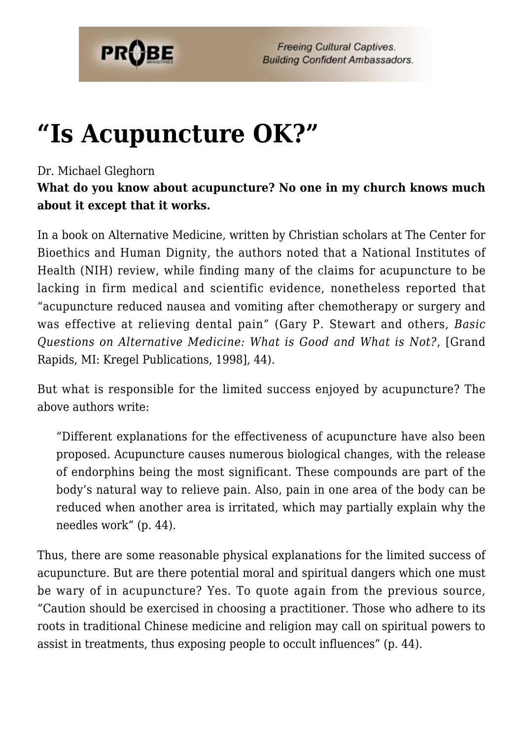

## **["Is Acupuncture OK?"](https://probe.org/is-acupuncture-ok/)**

## Dr. Michael Gleghorn

**What do you know about acupuncture? No one in my church knows much about it except that it works.**

In a book on Alternative Medicine, written by Christian scholars at The Center for Bioethics and Human Dignity, the authors noted that a National Institutes of Health (NIH) review, while finding many of the claims for acupuncture to be lacking in firm medical and scientific evidence, nonetheless reported that "acupuncture reduced nausea and vomiting after chemotherapy or surgery and was effective at relieving dental pain" (Gary P. Stewart and others, *Basic Questions on Alternative Medicine: What is Good and What is Not?*, [Grand Rapids, MI: Kregel Publications, 1998], 44).

But what is responsible for the limited success enjoyed by acupuncture? The above authors write:

"Different explanations for the effectiveness of acupuncture have also been proposed. Acupuncture causes numerous biological changes, with the release of endorphins being the most significant. These compounds are part of the body's natural way to relieve pain. Also, pain in one area of the body can be reduced when another area is irritated, which may partially explain why the needles work" (p. 44).

Thus, there are some reasonable physical explanations for the limited success of acupuncture. But are there potential moral and spiritual dangers which one must be wary of in acupuncture? Yes. To quote again from the previous source, "Caution should be exercised in choosing a practitioner. Those who adhere to its roots in traditional Chinese medicine and religion may call on spiritual powers to assist in treatments, thus exposing people to occult influences" (p. 44).